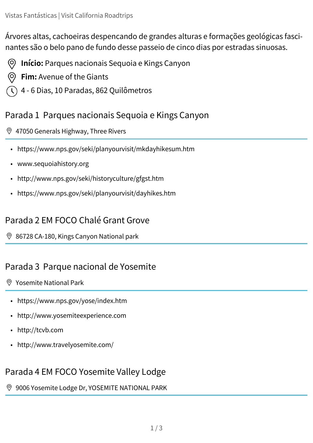Árvores altas, cachoeiras despencando de grandes alturas e formações geológicas fascinantes são o belo pano de fundo desse passeio de cinco dias por estradas sinuosas.

- **Início:** Parques nacionais Sequoia e Kings Canyon (O)
- **Fim:** Avenue of the Giants (O)
- 4 6 Dias, 10 Paradas, 862 Quilômetros

### Parada 1 Parques nacionais Sequoia e Kings Canyon

#### [47050 Generals Highway, Three Rivers](https://www.google.com/maps/dir/Sequoia+National+Park,+California/Grant+Grove+Cabins,+California+180,+Kings+Canyon+National+park,+CA/Yosemite+Valley+Lodge,+Yosemite+Lodge+Drive,+YOSEMITE+NATIONAL+PARK,+CA/Tuolumne+Meadows,+California/Mono+Lake+Tufa+State+Natural+Reserve,+U.S.+395,+Lee+Vining,+CA/Emerald+Bay+State+Park,+Emerald+Bay+Road,+South+Lake+Tahoe,+CA/Lassen+Volcanic+National+Park,+California/Mount+Shasta,+CA/Avenue+Of+The+Giants,+Avenue+of+the+Giants,+Weott,+CA/@38.8203238,-125.8573351,6z/data=!3m1!4b1!4m56!4m55!1m5!1m1!1s0x80bffb7d2d196579:0x440adff99f1ef464!2m2!1d-118.5657516!2d36.4863668!1m5!1m1!1s0x809562b86665545f:0x8bb41f2ae3e97b1d!2m2!1d-118.9613258!2d36.7404884!1m5!1m1!1s0x8096910208695e7b:0x731e8f9ad23d2d15!2m2!1d-119.5982519!2d37.7434762!1m5!1m1!1s0x8096582dd4eb58d1:0x8b8a003895940d2e!2m2!1d-119.3770242!2d37.8775876!1m5!1m1!1s0x80964787dab89041:0xa07f06d469f423ae!2m2!1d-119.1334891!2d37.9774243!1m5!1m1!1s0x809986f40fc553f7:0x68c865effff5abd0!2m2!1d-120.110414!2d38.9542445!1m5!1m1!1s0x809d5607c14138bf:0x8f34d8a77a666742!2m2!1d-121.4206552!2d40.49766!1m5!1m1!1s0x54cde0d325020841:0x8e6a2d01c84b8607!2m2!1d-122.3105666!2d41.3098746!1m5!1m1!1s0x54d4ec645f7fdecd:0x892405f7b2f3c94b!2m2!1d-123.9088039!2d40.3081309!3e0)

- <https://www.nps.gov/seki/planyourvisit/mkdayhikesum.htm>
- [www.sequoiahistory.org](http://www.sequoiahistory.org)
- <http://www.nps.gov/seki/historyculture/gfgst.htm>
- <https://www.nps.gov/seki/planyourvisit/dayhikes.htm>

## Parada 2 EM FOCO Chalé Grant Grove

 $\%$  [86728 CA-180, Kings Canyon National park](https://www.google.com/maps/dir/Sequoia+National+Park,+California/Grant+Grove+Cabins,+California+180,+Kings+Canyon+National+park,+CA/Yosemite+Valley+Lodge,+Yosemite+Lodge+Drive,+YOSEMITE+NATIONAL+PARK,+CA/Tuolumne+Meadows,+California/Mono+Lake+Tufa+State+Natural+Reserve,+U.S.+395,+Lee+Vining,+CA/Emerald+Bay+State+Park,+Emerald+Bay+Road,+South+Lake+Tahoe,+CA/Lassen+Volcanic+National+Park,+California/Mount+Shasta,+CA/Avenue+Of+The+Giants,+Avenue+of+the+Giants,+Weott,+CA/@38.8203238,-125.8573351,6z/data=!3m1!4b1!4m56!4m55!1m5!1m1!1s0x80bffb7d2d196579:0x440adff99f1ef464!2m2!1d-118.5657516!2d36.4863668!1m5!1m1!1s0x809562b86665545f:0x8bb41f2ae3e97b1d!2m2!1d-118.9613258!2d36.7404884!1m5!1m1!1s0x8096910208695e7b:0x731e8f9ad23d2d15!2m2!1d-119.5982519!2d37.7434762!1m5!1m1!1s0x8096582dd4eb58d1:0x8b8a003895940d2e!2m2!1d-119.3770242!2d37.8775876!1m5!1m1!1s0x80964787dab89041:0xa07f06d469f423ae!2m2!1d-119.1334891!2d37.9774243!1m5!1m1!1s0x809986f40fc553f7:0x68c865effff5abd0!2m2!1d-120.110414!2d38.9542445!1m5!1m1!1s0x809d5607c14138bf:0x8f34d8a77a666742!2m2!1d-121.4206552!2d40.49766!1m5!1m1!1s0x54cde0d325020841:0x8e6a2d01c84b8607!2m2!1d-122.3105666!2d41.3098746!1m5!1m1!1s0x54d4ec645f7fdecd:0x892405f7b2f3c94b!2m2!1d-123.9088039!2d40.3081309!3e0)

## Parada 3 Parque nacional de Yosemite

#### [Yosemite National Park](https://www.google.com/maps/dir/Sequoia+National+Park,+California/Grant+Grove+Cabins,+California+180,+Kings+Canyon+National+park,+CA/Yosemite+Valley+Lodge,+Yosemite+Lodge+Drive,+YOSEMITE+NATIONAL+PARK,+CA/Tuolumne+Meadows,+California/Mono+Lake+Tufa+State+Natural+Reserve,+U.S.+395,+Lee+Vining,+CA/Emerald+Bay+State+Park,+Emerald+Bay+Road,+South+Lake+Tahoe,+CA/Lassen+Volcanic+National+Park,+California/Mount+Shasta,+CA/Avenue+Of+The+Giants,+Avenue+of+the+Giants,+Weott,+CA/@38.8203238,-125.8573351,6z/data=!3m1!4b1!4m56!4m55!1m5!1m1!1s0x80bffb7d2d196579:0x440adff99f1ef464!2m2!1d-118.5657516!2d36.4863668!1m5!1m1!1s0x809562b86665545f:0x8bb41f2ae3e97b1d!2m2!1d-118.9613258!2d36.7404884!1m5!1m1!1s0x8096910208695e7b:0x731e8f9ad23d2d15!2m2!1d-119.5982519!2d37.7434762!1m5!1m1!1s0x8096582dd4eb58d1:0x8b8a003895940d2e!2m2!1d-119.3770242!2d37.8775876!1m5!1m1!1s0x80964787dab89041:0xa07f06d469f423ae!2m2!1d-119.1334891!2d37.9774243!1m5!1m1!1s0x809986f40fc553f7:0x68c865effff5abd0!2m2!1d-120.110414!2d38.9542445!1m5!1m1!1s0x809d5607c14138bf:0x8f34d8a77a666742!2m2!1d-121.4206552!2d40.49766!1m5!1m1!1s0x54cde0d325020841:0x8e6a2d01c84b8607!2m2!1d-122.3105666!2d41.3098746!1m5!1m1!1s0x54d4ec645f7fdecd:0x892405f7b2f3c94b!2m2!1d-123.9088039!2d40.3081309!3e0)

- <https://www.nps.gov/yose/index.htm>
- <http://www.yosemiteexperience.com>
- <http://tcvb.com>
- <http://www.travelyosemite.com/>

# Parada 4 EM FOCO Yosemite Valley Lodge

[9006 Yosemite Lodge Dr, YOSEMITE NATIONAL PARK](https://www.google.com/maps/dir/Sequoia+National+Park,+California/Grant+Grove+Cabins,+California+180,+Kings+Canyon+National+park,+CA/Yosemite+Valley+Lodge,+Yosemite+Lodge+Drive,+YOSEMITE+NATIONAL+PARK,+CA/Tuolumne+Meadows,+California/Mono+Lake+Tufa+State+Natural+Reserve,+U.S.+395,+Lee+Vining,+CA/Emerald+Bay+State+Park,+Emerald+Bay+Road,+South+Lake+Tahoe,+CA/Lassen+Volcanic+National+Park,+California/Mount+Shasta,+CA/Avenue+Of+The+Giants,+Avenue+of+the+Giants,+Weott,+CA/@38.8203238,-125.8573351,6z/data=!3m1!4b1!4m56!4m55!1m5!1m1!1s0x80bffb7d2d196579:0x440adff99f1ef464!2m2!1d-118.5657516!2d36.4863668!1m5!1m1!1s0x809562b86665545f:0x8bb41f2ae3e97b1d!2m2!1d-118.9613258!2d36.7404884!1m5!1m1!1s0x8096910208695e7b:0x731e8f9ad23d2d15!2m2!1d-119.5982519!2d37.7434762!1m5!1m1!1s0x8096582dd4eb58d1:0x8b8a003895940d2e!2m2!1d-119.3770242!2d37.8775876!1m5!1m1!1s0x80964787dab89041:0xa07f06d469f423ae!2m2!1d-119.1334891!2d37.9774243!1m5!1m1!1s0x809986f40fc553f7:0x68c865effff5abd0!2m2!1d-120.110414!2d38.9542445!1m5!1m1!1s0x809d5607c14138bf:0x8f34d8a77a666742!2m2!1d-121.4206552!2d40.49766!1m5!1m1!1s0x54cde0d325020841:0x8e6a2d01c84b8607!2m2!1d-122.3105666!2d41.3098746!1m5!1m1!1s0x54d4ec645f7fdecd:0x892405f7b2f3c94b!2m2!1d-123.9088039!2d40.3081309!3e0)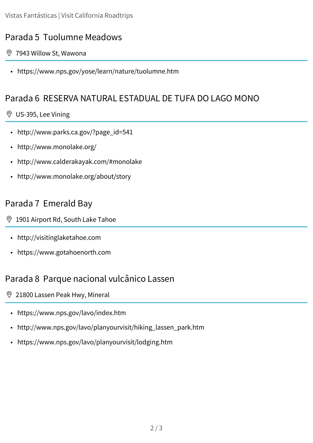## Parada 5 Tuolumne Meadows

- [7943 Willow St, Wawona](https://www.google.com/maps/dir/Sequoia+National+Park,+California/Grant+Grove+Cabins,+California+180,+Kings+Canyon+National+park,+CA/Yosemite+Valley+Lodge,+Yosemite+Lodge+Drive,+YOSEMITE+NATIONAL+PARK,+CA/Tuolumne+Meadows,+California/Mono+Lake+Tufa+State+Natural+Reserve,+U.S.+395,+Lee+Vining,+CA/Emerald+Bay+State+Park,+Emerald+Bay+Road,+South+Lake+Tahoe,+CA/Lassen+Volcanic+National+Park,+California/Mount+Shasta,+CA/Avenue+Of+The+Giants,+Avenue+of+the+Giants,+Weott,+CA/@38.8203238,-125.8573351,6z/data=!3m1!4b1!4m56!4m55!1m5!1m1!1s0x80bffb7d2d196579:0x440adff99f1ef464!2m2!1d-118.5657516!2d36.4863668!1m5!1m1!1s0x809562b86665545f:0x8bb41f2ae3e97b1d!2m2!1d-118.9613258!2d36.7404884!1m5!1m1!1s0x8096910208695e7b:0x731e8f9ad23d2d15!2m2!1d-119.5982519!2d37.7434762!1m5!1m1!1s0x8096582dd4eb58d1:0x8b8a003895940d2e!2m2!1d-119.3770242!2d37.8775876!1m5!1m1!1s0x80964787dab89041:0xa07f06d469f423ae!2m2!1d-119.1334891!2d37.9774243!1m5!1m1!1s0x809986f40fc553f7:0x68c865effff5abd0!2m2!1d-120.110414!2d38.9542445!1m5!1m1!1s0x809d5607c14138bf:0x8f34d8a77a666742!2m2!1d-121.4206552!2d40.49766!1m5!1m1!1s0x54cde0d325020841:0x8e6a2d01c84b8607!2m2!1d-122.3105666!2d41.3098746!1m5!1m1!1s0x54d4ec645f7fdecd:0x892405f7b2f3c94b!2m2!1d-123.9088039!2d40.3081309!3e0)
	- <https://www.nps.gov/yose/learn/nature/tuolumne.htm>

### Parada 6 RESERVA NATURAL ESTADUAL DE TUFA DO LAGO MONO

#### [US-395, Lee Vining](https://www.google.com/maps/dir/Sequoia+National+Park,+California/Grant+Grove+Cabins,+California+180,+Kings+Canyon+National+park,+CA/Yosemite+Valley+Lodge,+Yosemite+Lodge+Drive,+YOSEMITE+NATIONAL+PARK,+CA/Tuolumne+Meadows,+California/Mono+Lake+Tufa+State+Natural+Reserve,+U.S.+395,+Lee+Vining,+CA/Emerald+Bay+State+Park,+Emerald+Bay+Road,+South+Lake+Tahoe,+CA/Lassen+Volcanic+National+Park,+California/Mount+Shasta,+CA/Avenue+Of+The+Giants,+Avenue+of+the+Giants,+Weott,+CA/@38.8203238,-125.8573351,6z/data=!3m1!4b1!4m56!4m55!1m5!1m1!1s0x80bffb7d2d196579:0x440adff99f1ef464!2m2!1d-118.5657516!2d36.4863668!1m5!1m1!1s0x809562b86665545f:0x8bb41f2ae3e97b1d!2m2!1d-118.9613258!2d36.7404884!1m5!1m1!1s0x8096910208695e7b:0x731e8f9ad23d2d15!2m2!1d-119.5982519!2d37.7434762!1m5!1m1!1s0x8096582dd4eb58d1:0x8b8a003895940d2e!2m2!1d-119.3770242!2d37.8775876!1m5!1m1!1s0x80964787dab89041:0xa07f06d469f423ae!2m2!1d-119.1334891!2d37.9774243!1m5!1m1!1s0x809986f40fc553f7:0x68c865effff5abd0!2m2!1d-120.110414!2d38.9542445!1m5!1m1!1s0x809d5607c14138bf:0x8f34d8a77a666742!2m2!1d-121.4206552!2d40.49766!1m5!1m1!1s0x54cde0d325020841:0x8e6a2d01c84b8607!2m2!1d-122.3105666!2d41.3098746!1m5!1m1!1s0x54d4ec645f7fdecd:0x892405f7b2f3c94b!2m2!1d-123.9088039!2d40.3081309!3e0)

- [http://www.parks.ca.gov/?page\\_id=541](http://www.parks.ca.gov/?page_id=541)
- <http://www.monolake.org/>
- <http://www.calderakayak.com/#monolake>
- <http://www.monolake.org/about/story>

### Parada 7 Emerald Bay

- [1901 Airport Rd, South Lake Tahoe](https://www.google.com/maps/dir/Sequoia+National+Park,+California/Grant+Grove+Cabins,+California+180,+Kings+Canyon+National+park,+CA/Yosemite+Valley+Lodge,+Yosemite+Lodge+Drive,+YOSEMITE+NATIONAL+PARK,+CA/Tuolumne+Meadows,+California/Mono+Lake+Tufa+State+Natural+Reserve,+U.S.+395,+Lee+Vining,+CA/Emerald+Bay+State+Park,+Emerald+Bay+Road,+South+Lake+Tahoe,+CA/Lassen+Volcanic+National+Park,+California/Mount+Shasta,+CA/Avenue+Of+The+Giants,+Avenue+of+the+Giants,+Weott,+CA/@38.8203238,-125.8573351,6z/data=!3m1!4b1!4m56!4m55!1m5!1m1!1s0x80bffb7d2d196579:0x440adff99f1ef464!2m2!1d-118.5657516!2d36.4863668!1m5!1m1!1s0x809562b86665545f:0x8bb41f2ae3e97b1d!2m2!1d-118.9613258!2d36.7404884!1m5!1m1!1s0x8096910208695e7b:0x731e8f9ad23d2d15!2m2!1d-119.5982519!2d37.7434762!1m5!1m1!1s0x8096582dd4eb58d1:0x8b8a003895940d2e!2m2!1d-119.3770242!2d37.8775876!1m5!1m1!1s0x80964787dab89041:0xa07f06d469f423ae!2m2!1d-119.1334891!2d37.9774243!1m5!1m1!1s0x809986f40fc553f7:0x68c865effff5abd0!2m2!1d-120.110414!2d38.9542445!1m5!1m1!1s0x809d5607c14138bf:0x8f34d8a77a666742!2m2!1d-121.4206552!2d40.49766!1m5!1m1!1s0x54cde0d325020841:0x8e6a2d01c84b8607!2m2!1d-122.3105666!2d41.3098746!1m5!1m1!1s0x54d4ec645f7fdecd:0x892405f7b2f3c94b!2m2!1d-123.9088039!2d40.3081309!3e0)
- <http://visitinglaketahoe.com>
- <https://www.gotahoenorth.com>

#### Parada 8 Parque nacional vulcânico Lassen

- [21800 Lassen Peak Hwy, Mineral](https://www.google.com/maps/dir/Sequoia+National+Park,+California/Grant+Grove+Cabins,+California+180,+Kings+Canyon+National+park,+CA/Yosemite+Valley+Lodge,+Yosemite+Lodge+Drive,+YOSEMITE+NATIONAL+PARK,+CA/Tuolumne+Meadows,+California/Mono+Lake+Tufa+State+Natural+Reserve,+U.S.+395,+Lee+Vining,+CA/Emerald+Bay+State+Park,+Emerald+Bay+Road,+South+Lake+Tahoe,+CA/Lassen+Volcanic+National+Park,+California/Mount+Shasta,+CA/Avenue+Of+The+Giants,+Avenue+of+the+Giants,+Weott,+CA/@38.8203238,-125.8573351,6z/data=!3m1!4b1!4m56!4m55!1m5!1m1!1s0x80bffb7d2d196579:0x440adff99f1ef464!2m2!1d-118.5657516!2d36.4863668!1m5!1m1!1s0x809562b86665545f:0x8bb41f2ae3e97b1d!2m2!1d-118.9613258!2d36.7404884!1m5!1m1!1s0x8096910208695e7b:0x731e8f9ad23d2d15!2m2!1d-119.5982519!2d37.7434762!1m5!1m1!1s0x8096582dd4eb58d1:0x8b8a003895940d2e!2m2!1d-119.3770242!2d37.8775876!1m5!1m1!1s0x80964787dab89041:0xa07f06d469f423ae!2m2!1d-119.1334891!2d37.9774243!1m5!1m1!1s0x809986f40fc553f7:0x68c865effff5abd0!2m2!1d-120.110414!2d38.9542445!1m5!1m1!1s0x809d5607c14138bf:0x8f34d8a77a666742!2m2!1d-121.4206552!2d40.49766!1m5!1m1!1s0x54cde0d325020841:0x8e6a2d01c84b8607!2m2!1d-122.3105666!2d41.3098746!1m5!1m1!1s0x54d4ec645f7fdecd:0x892405f7b2f3c94b!2m2!1d-123.9088039!2d40.3081309!3e0)
	- <https://www.nps.gov/lavo/index.htm>
	- [http://www.nps.gov/lavo/planyourvisit/hiking\\_lassen\\_park.htm](http://www.nps.gov/lavo/planyourvisit/hiking_lassen_park.htm)
	- <https://www.nps.gov/lavo/planyourvisit/lodging.htm>